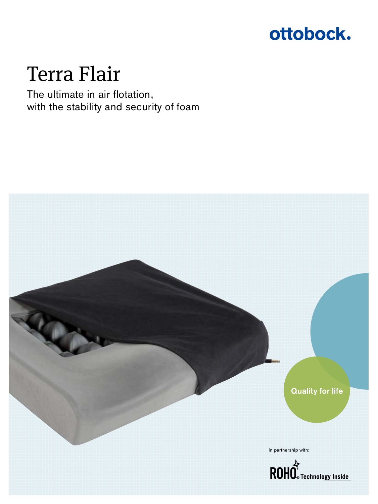

# Terra Flair

The ultimate in air flotation, with the stability and security of foam

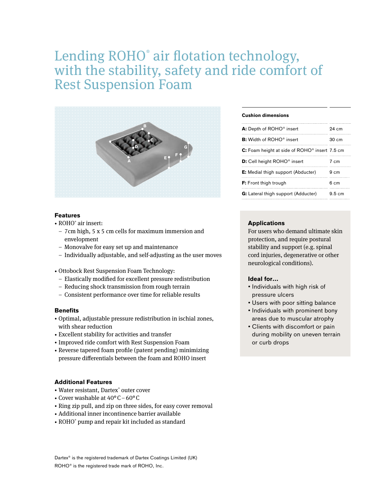# Lending ROHO® air flotation technology, with the stability, safety and ride comfort of Rest Suspension Foam



# **Features**

- ROHO® air insert:
- 7cm high, 5 x 5 cm cells for maximum immersion and envelopment
- Monovalve for easy set up and maintenance
- Individually adjustable, and self-adjusting as the user moves
- Ottobock Rest Suspension Foam Technology:
	- Elastically modified for excellent pressure redistribution
- Reducing shock transmission from rough terrain
- Consistent performance over time for reliable results

## **Benefits**

- Optimal, adjustable pressure redistribution in ischial zones, with shear reduction
- Excellent stability for activities and transfer
- Improved ride comfort with Rest Suspension Foam
- Reverse tapered foam profile (patent pending) minimizing pressure differentials between the foam and ROHO insert

# **Additional Features**

- Water resistant, Dartex® outer cover
- Cover washable at 40°C–60°C
- Ring zip pull, and zip on three sides, for easy cover removal
- Additional inner incontinence barrier available
- ROHO® pump and repair kit included as standard

### **Cushion dimensions**

| A: Depth of ROHO® insert                                  | $94 \text{ cm}$ |
|-----------------------------------------------------------|-----------------|
| <b>B:</b> Width of ROHO <sup>®</sup> insert               | $30 \text{ cm}$ |
| C: Foam height at side of ROHO <sup>®</sup> insert 7.5 cm |                 |
| <b>D:</b> Cell height ROHO <sup>®</sup> insert            | 7 c.m           |
| <b>E:</b> Medial thigh support (Abducter)                 | $9 \text{ cm}$  |
| <b>F:</b> Front thigh trough                              | $6 \text{ cm}$  |
| <b>G:</b> Lateral thigh support (Adducter)                | 9.5cm           |

#### **Applications**

For users who demand ultimate skin protection, and require postural stability and support (e.g. spinal cord injuries, degenerative or other neurological conditions).

#### **Ideal for…**

- Individuals with high risk of pressure ulcers
- Users with poor sitting balance
- Individuals with prominent bony areas due to muscular atrophy
- Clients with discomfort or pain during mobility on uneven terrain or curb drops

Dartex® is the registered trademark of Dartex Coatings Limited (UK) ROHO® is the registered trade mark of ROHO, Inc.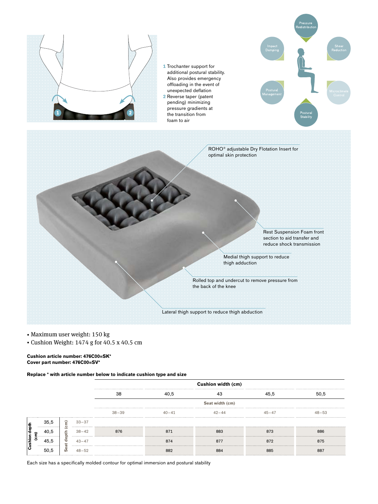

- Maximum user weight: 150 kg
- Cushion Weight: 1474 g for 40.5 x 40.5 cm

#### **Cushion article number: 476C00=SK\* Cover part number: 476C00=SV\***

**Replace \* with article number below to indicate cushion type and size**

|                  |  |   |           | Cushion width (cm) |           |           |           |           |  |  |
|------------------|--|---|-----------|--------------------|-----------|-----------|-----------|-----------|--|--|
|                  |  |   |           | 38                 |           |           |           | 50.5      |  |  |
|                  |  |   |           | Seat width (cm)    |           |           |           |           |  |  |
|                  |  |   |           | $38 - 39$          | $40 - 41$ | $42 - 44$ | $45 - 47$ | $48 - 53$ |  |  |
| 통<br>향           |  | ഗ | $33 - 37$ |                    |           |           |           |           |  |  |
| ۱ō               |  |   | $38 - 42$ | 876                | 871       | 883       |           |           |  |  |
| ã<br><b>Cush</b> |  |   | $43 - 47$ |                    | 874       |           |           | 875       |  |  |
|                  |  |   | 48–59     |                    | 382       | 884       |           |           |  |  |

Each size has a specifically molded contour for optimal immersion and postural stability